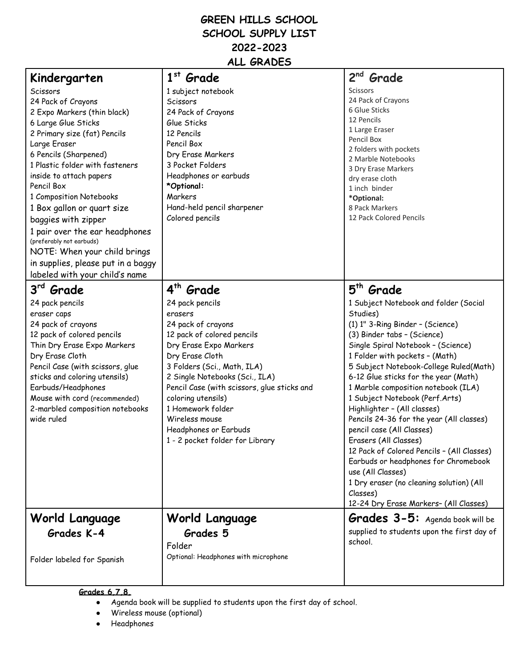## **GREEN HILLS SCHOOL SCHOOL SUPPLY LIST 2022-2023 ALL GRADES**

| Kindergarten                       | $1st$ Grade                                 | $2nd$ Grade                                |
|------------------------------------|---------------------------------------------|--------------------------------------------|
| Scissors                           | 1 subject notebook                          | Scissors                                   |
| 24 Pack of Crayons                 | Scissors                                    | 24 Pack of Crayons                         |
| 2 Expo Markers (thin black)        | 24 Pack of Crayons                          | 6 Glue Sticks                              |
| 6 Large Glue Sticks                | Glue Sticks                                 | 12 Pencils                                 |
| 2 Primary size (fat) Pencils       | 12 Pencils                                  | 1 Large Eraser                             |
| Large Eraser                       | Pencil Box                                  | Pencil Box                                 |
| 6 Pencils (Sharpened)              | Dry Erase Markers                           | 2 folders with pockets                     |
| 1 Plastic folder with fasteners    | 3 Pocket Folders                            | 2 Marble Notebooks                         |
| inside to attach papers            | Headphones or earbuds                       | 3 Dry Erase Markers<br>dry erase cloth     |
| Pencil Box                         | *Optional:                                  | 1 inch binder                              |
| 1 Composition Notebooks            | Markers                                     | *Optional:                                 |
| 1 Box gallon or quart size         | Hand-held pencil sharpener                  | 8 Pack Markers                             |
| baggies with zipper                | Colored pencils                             | 12 Pack Colored Pencils                    |
| 1 pair over the ear headphones     |                                             |                                            |
| (preferably not earbuds)           |                                             |                                            |
| NOTE: When your child brings       |                                             |                                            |
| in supplies, please put in a baggy |                                             |                                            |
| labeled with your child's name     |                                             |                                            |
|                                    |                                             |                                            |
| 3rd Grade                          | 4 <sup>th</sup> Grade                       | 5 <sup>th</sup> Grade                      |
| 24 pack pencils                    | 24 pack pencils                             | 1 Subject Notebook and folder (Social      |
| eraser caps                        | erasers                                     | Studies)                                   |
| 24 pack of crayons                 | 24 pack of crayons                          | (1) 1" 3-Ring Binder - (Science)           |
| 12 pack of colored pencils         | 12 pack of colored pencils                  | (3) Binder tabs - (Science)                |
| Thin Dry Erase Expo Markers        | Dry Erase Expo Markers                      | Single Spiral Notebook - (Science)         |
| Dry Erase Cloth                    | Dry Erase Cloth                             | 1 Folder with pockets - (Math)             |
| Pencil Case (with scissors, glue   | 3 Folders (Sci., Math, ILA)                 | 5 Subject Notebook-College Ruled(Math)     |
| sticks and coloring utensils)      | 2 Single Notebooks (Sci., ILA)              | 6-12 Glue sticks for the year (Math)       |
| Earbuds/Headphones                 | Pencil Case (with scissors, glue sticks and | 1 Marble composition notebook (ILA)        |
| Mouse with cord (recommended)      | coloring utensils)                          | 1 Subject Notebook (Perf.Arts)             |
| 2-marbled composition notebooks    | 1 Homework folder                           | Highlighter - (All classes)                |
| wide ruled                         | Wireless mouse                              | Pencils 24-36 for the year (All classes)   |
|                                    | Headphones or Earbuds                       | pencil case (All Classes)                  |
|                                    | 1 - 2 pocket folder for Library             | Erasers (All Classes)                      |
|                                    |                                             | 12 Pack of Colored Pencils - (All Classes) |
|                                    |                                             | Earbuds or headphones for Chromebook       |
|                                    |                                             | use (All Classes)                          |
|                                    |                                             | 1 Dry eraser (no cleaning solution) (All   |
|                                    |                                             | Classes)                                   |
|                                    |                                             | 12-24 Dry Erase Markers- (All Classes)     |
| World Language                     | World Language                              | <b>Grades 3-5:</b> Agenda book will be     |
| Grades K-4                         | Grades 5                                    | supplied to students upon the first day of |
|                                    | Folder                                      | school.                                    |
|                                    | Optional: Headphones with microphone        |                                            |
| Folder labeled for Spanish         |                                             |                                            |
|                                    |                                             |                                            |
|                                    |                                             |                                            |

**Grades 6,7,8,**

- Agenda book will be supplied to students upon the first day of school.
- Wireless mouse (optional)
- Headphones